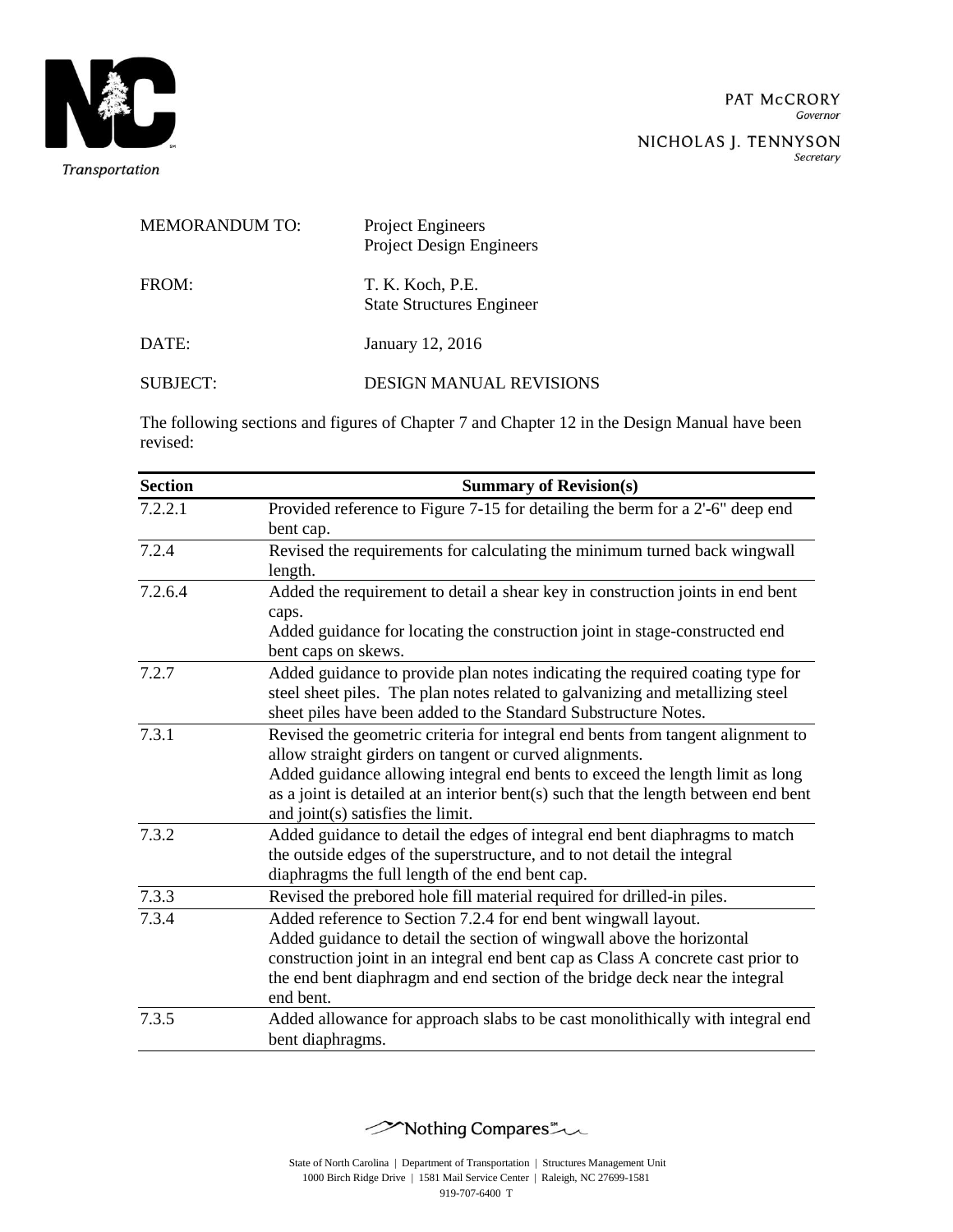

Secretary

| <b>MEMORANDUM TO:</b> | Project Engineers<br><b>Project Design Engineers</b> |
|-----------------------|------------------------------------------------------|
| FROM:                 | T. K. Koch, P.E.<br><b>State Structures Engineer</b> |
| DATE:                 | January 12, 2016                                     |
| <b>SUBJECT:</b>       | <b>DESIGN MANUAL REVISIONS</b>                       |

The following sections and figures of Chapter 7 and Chapter 12 in the Design Manual have been revised:

| <b>Section</b> | <b>Summary of Revision(s)</b>                                                       |
|----------------|-------------------------------------------------------------------------------------|
| 7.2.2.1        | Provided reference to Figure 7-15 for detailing the berm for a 2'-6" deep end       |
|                | bent cap.                                                                           |
| 7.2.4          | Revised the requirements for calculating the minimum turned back wingwall           |
|                | length.                                                                             |
| 7.2.6.4        | Added the requirement to detail a shear key in construction joints in end bent      |
|                | caps.                                                                               |
|                | Added guidance for locating the construction joint in stage-constructed end         |
|                | bent caps on skews.                                                                 |
| 7.2.7          | Added guidance to provide plan notes indicating the required coating type for       |
|                | steel sheet piles. The plan notes related to galvanizing and metallizing steel      |
|                | sheet piles have been added to the Standard Substructure Notes.                     |
| 7.3.1          | Revised the geometric criteria for integral end bents from tangent alignment to     |
|                | allow straight girders on tangent or curved alignments.                             |
|                | Added guidance allowing integral end bents to exceed the length limit as long       |
|                | as a joint is detailed at an interior bent(s) such that the length between end bent |
|                | and joint(s) satisfies the limit.                                                   |
| 7.3.2          | Added guidance to detail the edges of integral end bent diaphragms to match         |
|                | the outside edges of the superstructure, and to not detail the integral             |
|                | diaphragms the full length of the end bent cap.                                     |
| 7.3.3          | Revised the prebored hole fill material required for drilled-in piles.              |
| 7.3.4          | Added reference to Section 7.2.4 for end bent wingwall layout.                      |
|                | Added guidance to detail the section of wingwall above the horizontal               |
|                | construction joint in an integral end bent cap as Class A concrete cast prior to    |
|                | the end bent diaphragm and end section of the bridge deck near the integral         |
|                | end bent.                                                                           |
| 7.3.5          | Added allowance for approach slabs to be cast monolithically with integral end      |
|                | bent diaphragms.                                                                    |

Mothing Compares \*\*